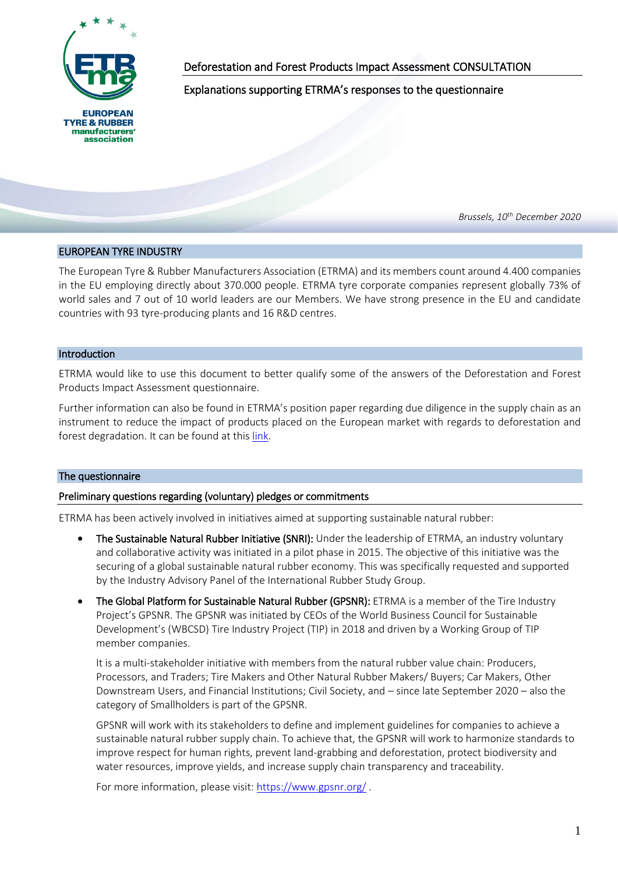

Deforestation and Forest Products Impact Assessment CONSULTATION

Explanations supporting ETRMA's responses to the questionnaire

*Brussels, 10th December 2020*

## EUROPEAN TYRE INDUSTRY

The European Tyre & Rubber Manufacturers Association (ETRMA) and its members count around 4.400 companies in the EU employing directly about 370.000 people. ETRMA tyre corporate companies represent globally 73% of world sales and 7 out of 10 world leaders are our Members. We have strong presence in the EU and candidate countries with 93 tyre-producing plants and 16 R&D centres.

#### Introduction

ETRMA would like to use this document to better qualify some of the answers of the Deforestation and Forest Products Impact Assessment questionnaire.

Further information can also be found in ETRMA's position paper regarding due diligence in the supply chain as an instrument to reduce the impact of products placed on the European market with regards to deforestation and forest degradation. It can be found at this [link.](https://www.etrma.org/wp-content/uploads/2020/12/20201005-Due-diligence-and-deforestation-ETRMA-position.pdf)

### The questionnaire

### Preliminary questions regarding (voluntary) pledges or commitments

ETRMA has been actively involved in initiatives aimed at supporting sustainable natural rubber:

- The Sustainable Natural Rubber Initiative (SNRI): Under the leadership of ETRMA, an industry voluntary and collaborative activity was initiated in a pilot phase in 2015. The objective of this initiative was the securing of a global sustainable natural rubber economy. This was specifically requested and supported by the Industry Advisory Panel of the International Rubber Study Group.
- The Global Platform for Sustainable Natural Rubber (GPSNR): ETRMA is a member of the Tire Industry Project's GPSNR. The GPSNR was initiated by CEOs of the World Business Council for Sustainable Development's (WBCSD) Tire Industry Project (TIP) in 2018 and driven by a Working Group of TIP member companies.

It is a multi-stakeholder initiative with members from the natural rubber value chain: Producers, Processors, and Traders; Tire Makers and Other Natural Rubber Makers/ Buyers; Car Makers, Other Downstream Users, and Financial Institutions; Civil Society, and – since late September 2020 – also the category of Smallholders is part of the GPSNR.

GPSNR will work with its stakeholders to define and implement guidelines for companies to achieve a sustainable natural rubber supply chain. To achieve that, the GPSNR will work to harmonize standards to improve respect for human rights, prevent land-grabbing and deforestation, protect biodiversity and water resources, improve yields, and increase supply chain transparency and traceability.

For more information, please visit:<https://www.gpsnr.org/> .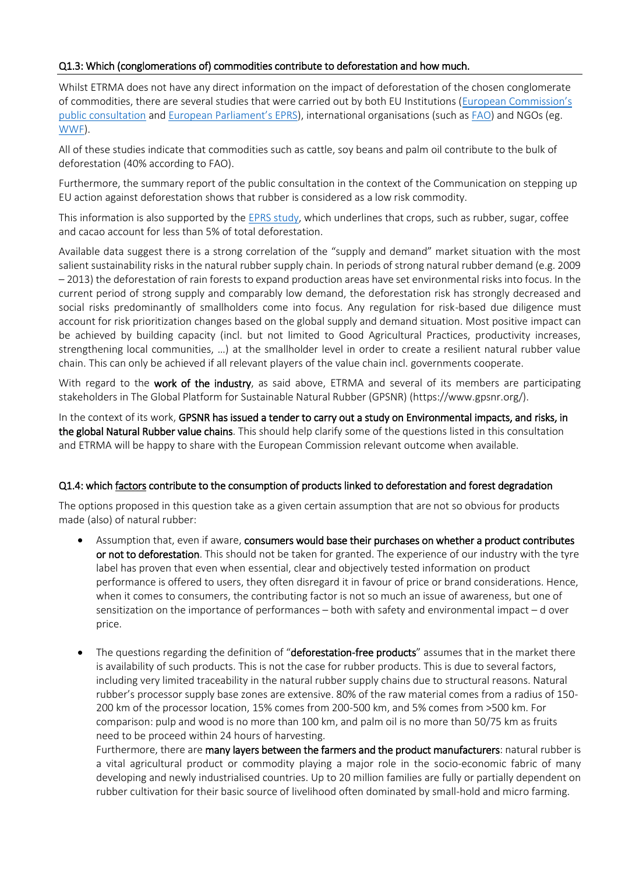# Q1.3: Which (conglomerations of) commodities contribute to deforestation and how much.

Whilst ETRMA does not have any direct information on the impact of deforestation of the chosen conglomerate of commodities, there are several studies that were carried out by both EU Institutions [\(European Commission](https://ec.europa.eu/environment/forests/pdf/OPC%20Analysis%20comprehensive%20report.pdf)'s [public consultation](https://ec.europa.eu/environment/forests/pdf/OPC%20Analysis%20comprehensive%20report.pdf) and [European Parliament's EPRS](https://www.europarl.europa.eu/RegData/etudes/STUD/2020/654174/EPRS_STU(2020)654174_EN.pdf)), international organisations (such a[s FAO\)](https://wedocs.unep.org/bitstream/handle/20.500.11822/32472/WF20EN.pdf?sequence=1&isAllowed=y) and NGOs (eg. [WWF\)](https://www.worldwildlife.org/magazine/issues/summer-2018/articles/what-are-the-biggest-drivers-of-tropical-deforestation).

All of these studies indicate that commodities such as cattle, soy beans and palm oil contribute to the bulk of deforestation (40% according to FAO).

Furthermore, the summary report of the public consultation in the context of the Communication on stepping up EU action against deforestation shows that rubber is considered as a low risk commodity.

This information is also supported by the [EPRS study,](https://www.europarl.europa.eu/RegData/etudes/STUD/2020/654174/EPRS_STU(2020)654174_EN.pdf) which underlines that crops, such as rubber, sugar, coffee and cacao account for less than 5% of total deforestation.

Available data suggest there is a strong correlation of the "supply and demand" market situation with the most salient sustainability risks in the natural rubber supply chain. In periods of strong natural rubber demand (e.g. 2009 – 2013) the deforestation of rain forests to expand production areas have set environmental risks into focus. In the current period of strong supply and comparably low demand, the deforestation risk has strongly decreased and social risks predominantly of smallholders come into focus. Any regulation for risk-based due diligence must account for risk prioritization changes based on the global supply and demand situation. Most positive impact can be achieved by building capacity (incl. but not limited to Good Agricultural Practices, productivity increases, strengthening local communities, …) at the smallholder level in order to create a resilient natural rubber value chain. This can only be achieved if all relevant players of the value chain incl. governments cooperate.

With regard to the work of the industry, as said above, ETRMA and several of its members are participating stakeholders in The Global Platform for Sustainable Natural Rubber (GPSNR) (https://www.gpsnr.org/).

In the context of its work, GPSNR has issued a tender to carry out a study on Environmental impacts, and risks, in the global Natural Rubber value chains. This should help clarify some of the questions listed in this consultation and ETRMA will be happy to share with the European Commission relevant outcome when available.

## Q1.4: which factors contribute to the consumption of products linked to deforestation and forest degradation

The options proposed in this question take as a given certain assumption that are not so obvious for products made (also) of natural rubber:

- Assumption that, even if aware, consumers would base their purchases on whether a product contributes or not to deforestation. This should not be taken for granted. The experience of our industry with the tyre label has proven that even when essential, clear and objectively tested information on product performance is offered to users, they often disregard it in favour of price or brand considerations. Hence, when it comes to consumers, the contributing factor is not so much an issue of awareness, but one of sensitization on the importance of performances – both with safety and environmental impact – d over price.
- The questions regarding the definition of "deforestation-free products" assumes that in the market there is availability of such products. This is not the case for rubber products. This is due to several factors, including very limited traceability in the natural rubber supply chains due to structural reasons. Natural rubber's processor supply base zones are extensive. 80% of the raw material comes from a radius of 150- 200 km of the processor location, 15% comes from 200-500 km, and 5% comes from >500 km. For comparison: pulp and wood is no more than 100 km, and palm oil is no more than 50/75 km as fruits need to be proceed within 24 hours of harvesting.

Furthermore, there are many layers between the farmers and the product manufacturers: natural rubber is a vital agricultural product or commodity playing a major role in the socio-economic fabric of many developing and newly industrialised countries. Up to 20 million families are fully or partially dependent on rubber cultivation for their basic source of livelihood often dominated by small-hold and micro farming.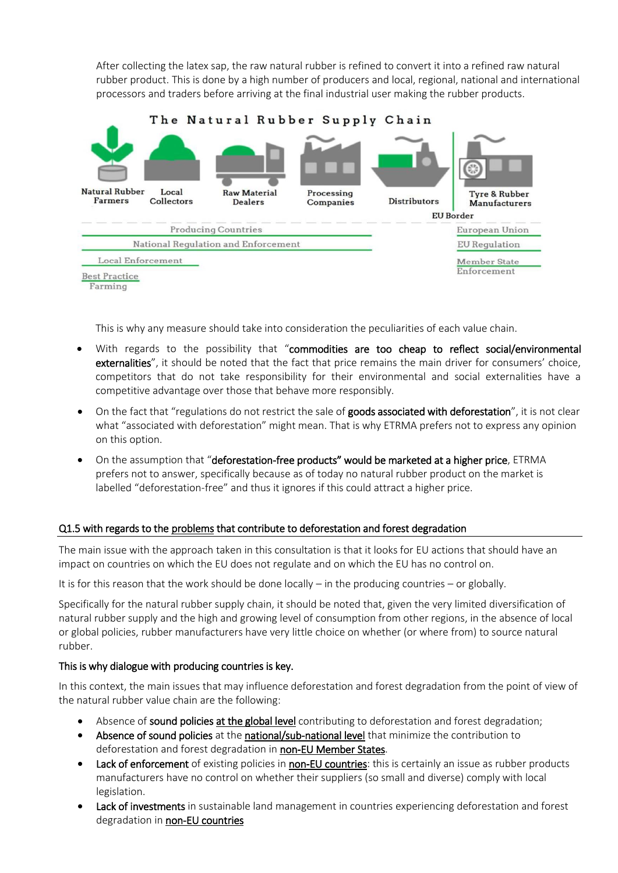After collecting the latex sap, the raw natural rubber is refined to convert it into a refined raw natural rubber product. This is done by a high number of producers and local, regional, national and international processors and traders before arriving at the final industrial user making the rubber products.



This is why any measure should take into consideration the peculiarities of each value chain.

- With regards to the possibility that "commodities are too cheap to reflect social/environmental externalities", it should be noted that the fact that price remains the main driver for consumers' choice, competitors that do not take responsibility for their environmental and social externalities have a competitive advantage over those that behave more responsibly.
- On the fact that "regulations do not restrict the sale of goods associated with deforestation", it is not clear what "associated with deforestation" might mean. That is why ETRMA prefers not to express any opinion on this option.
- On the assumption that "deforestation-free products" would be marketed at a higher price, ETRMA prefers not to answer, specifically because as of today no natural rubber product on the market is labelled "deforestation-free" and thus it ignores if this could attract a higher price.

## Q1.5 with regards to the problems that contribute to deforestation and forest degradation

The main issue with the approach taken in this consultation is that it looks for EU actions that should have an impact on countries on which the EU does not regulate and on which the EU has no control on.

It is for this reason that the work should be done locally – in the producing countries – or globally.

Specifically for the natural rubber supply chain, it should be noted that, given the very limited diversification of natural rubber supply and the high and growing level of consumption from other regions, in the absence of local or global policies, rubber manufacturers have very little choice on whether (or where from) to source natural rubber.

## This is why dialogue with producing countries is key.

In this context, the main issues that may influence deforestation and forest degradation from the point of view of the natural rubber value chain are the following:

- Absence of sound policies at the global level contributing to deforestation and forest degradation;
- Absence of sound policies at the national/sub-national level that minimize the contribution to deforestation and forest degradation in non-EU Member States.
- Lack of enforcement of existing policies in non-EU countries: this is certainly an issue as rubber products manufacturers have no control on whether their suppliers (so small and diverse) comply with local legislation.
- Lack of investments in sustainable land management in countries experiencing deforestation and forest degradation in non-EU countries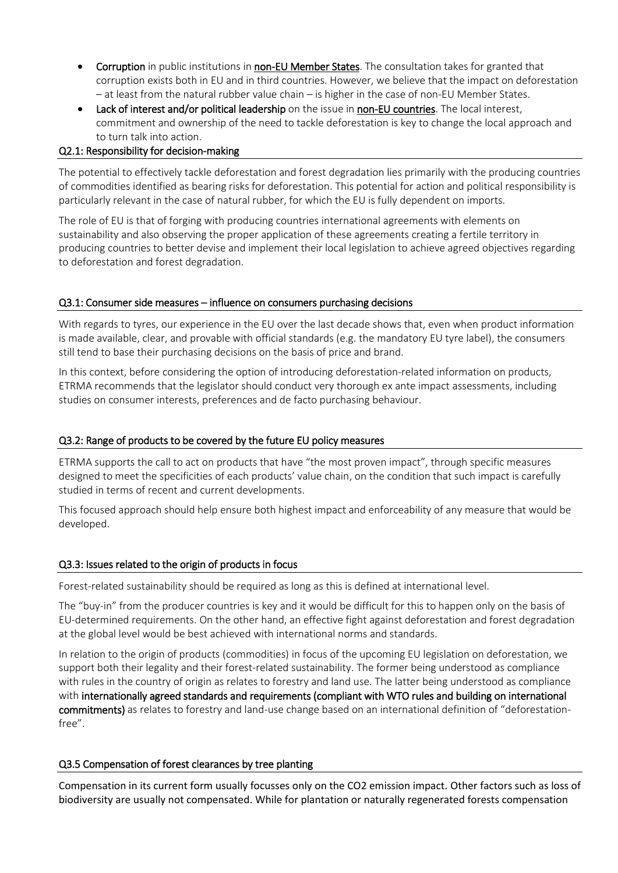- Corruption in public institutions in non-EU Member States. The consultation takes for granted that corruption exists both in EU and in third countries. However, we believe that the impact on deforestation – at least from the natural rubber value chain – is higher in the case of non-EU Member States.
- Lack of interest and/or political leadership on the issue in non-EU countries. The local interest, commitment and ownership of the need to tackle deforestation is key to change the local approach and to turn talk into action.

## Q2.1: Responsibility for decision-making

The potential to effectively tackle deforestation and forest degradation lies primarily with the producing countries of commodities identified as bearing risks for deforestation. This potential for action and political responsibility is particularly relevant in the case of natural rubber, for which the EU is fully dependent on imports.

The role of EU is that of forging with producing countries international agreements with elements on sustainability and also observing the proper application of these agreements creating a fertile territory in producing countries to better devise and implement their local legislation to achieve agreed objectives regarding to deforestation and forest degradation.

## Q3.1: Consumer side measures – influence on consumers purchasing decisions

With regards to tyres, our experience in the EU over the last decade shows that, even when product information is made available, clear, and provable with official standards (e.g. the mandatory EU tyre label), the consumers still tend to base their purchasing decisions on the basis of price and brand.

In this context, before considering the option of introducing deforestation-related information on products, ETRMA recommends that the legislator should conduct very thorough ex ante impact assessments, including studies on consumer interests, preferences and de facto purchasing behaviour.

## Q3.2: Range of products to be covered by the future EU policy measures

ETRMA supports the call to act on products that have "the most proven impact", through specific measures designed to meet the specificities of each products' value chain, on the condition that such impact is carefully studied in terms of recent and current developments.

This focused approach should help ensure both highest impact and enforceability of any measure that would be developed.

### Q3.3: Issues related to the origin of products in focus

Forest-related sustainability should be required as long as this is defined at international level.

The "buy-in" from the producer countries is key and it would be difficult for this to happen only on the basis of EU-determined requirements. On the other hand, an effective fight against deforestation and forest degradation at the global level would be best achieved with international norms and standards.

In relation to the origin of products (commodities) in focus of the upcoming EU legislation on deforestation, we support both their legality and their forest-related sustainability. The former being understood as compliance with rules in the country of origin as relates to forestry and land use. The latter being understood as compliance with internationally agreed standards and requirements (compliant with WTO rules and building on international commitments) as relates to forestry and land-use change based on an international definition of "deforestationfree".

### Q3.5 Compensation of forest clearances by tree planting

Compensation in its current form usually focusses only on the CO2 emission impact. Other factors such as loss of biodiversity are usually not compensated. While for plantation or naturally regenerated forests compensation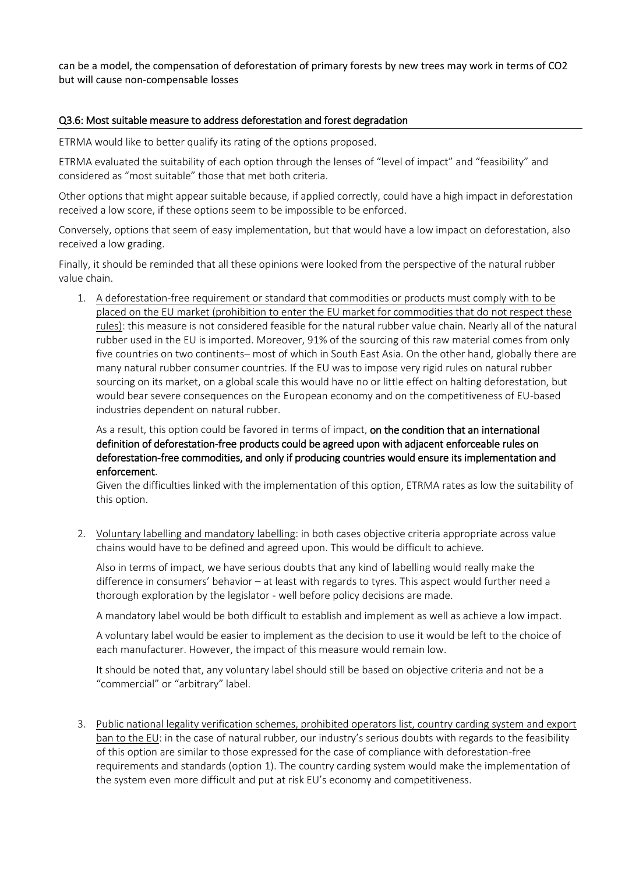can be a model, the compensation of deforestation of primary forests by new trees may work in terms of CO2 but will cause non-compensable losses

### Q3.6: Most suitable measure to address deforestation and forest degradation

ETRMA would like to better qualify its rating of the options proposed.

ETRMA evaluated the suitability of each option through the lenses of "level of impact" and "feasibility" and considered as "most suitable" those that met both criteria.

Other options that might appear suitable because, if applied correctly, could have a high impact in deforestation received a low score, if these options seem to be impossible to be enforced.

Conversely, options that seem of easy implementation, but that would have a low impact on deforestation, also received a low grading.

Finally, it should be reminded that all these opinions were looked from the perspective of the natural rubber value chain.

1. A deforestation-free requirement or standard that commodities or products must comply with to be placed on the EU market (prohibition to enter the EU market for commodities that do not respect these rules): this measure is not considered feasible for the natural rubber value chain. Nearly all of the natural rubber used in the EU is imported. Moreover, 91% of the sourcing of this raw material comes from only five countries on two continents– most of which in South East Asia. On the other hand, globally there are many natural rubber consumer countries. If the EU was to impose very rigid rules on natural rubber sourcing on its market, on a global scale this would have no or little effect on halting deforestation, but would bear severe consequences on the European economy and on the competitiveness of EU-based industries dependent on natural rubber.

As a result, this option could be favored in terms of impact, on the condition that an international definition of deforestation-free products could be agreed upon with adjacent enforceable rules on deforestation-free commodities, and only if producing countries would ensure its implementation and enforcement.

Given the difficulties linked with the implementation of this option, ETRMA rates as low the suitability of this option.

2. Voluntary labelling and mandatory labelling: in both cases objective criteria appropriate across value chains would have to be defined and agreed upon. This would be difficult to achieve.

Also in terms of impact, we have serious doubts that any kind of labelling would really make the difference in consumers' behavior – at least with regards to tyres. This aspect would further need a thorough exploration by the legislator - well before policy decisions are made.

A mandatory label would be both difficult to establish and implement as well as achieve a low impact.

A voluntary label would be easier to implement as the decision to use it would be left to the choice of each manufacturer. However, the impact of this measure would remain low.

It should be noted that, any voluntary label should still be based on objective criteria and not be a "commercial" or "arbitrary" label.

3. Public national legality verification schemes, prohibited operators list, country carding system and export ban to the EU: in the case of natural rubber, our industry's serious doubts with regards to the feasibility of this option are similar to those expressed for the case of compliance with deforestation-free requirements and standards (option 1). The country carding system would make the implementation of the system even more difficult and put at risk EU's economy and competitiveness.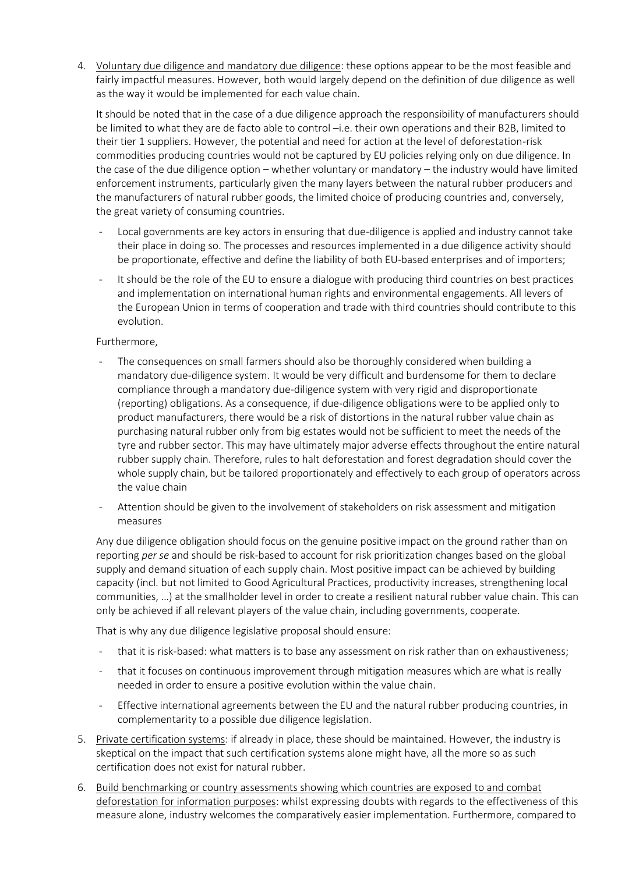4. Voluntary due diligence and mandatory due diligence: these options appear to be the most feasible and fairly impactful measures. However, both would largely depend on the definition of due diligence as well as the way it would be implemented for each value chain.

It should be noted that in the case of a due diligence approach the responsibility of manufacturers should be limited to what they are de facto able to control –i.e. their own operations and their B2B, limited to their tier 1 suppliers. However, the potential and need for action at the level of deforestation-risk commodities producing countries would not be captured by EU policies relying only on due diligence. In the case of the due diligence option – whether voluntary or mandatory – the industry would have limited enforcement instruments, particularly given the many layers between the natural rubber producers and the manufacturers of natural rubber goods, the limited choice of producing countries and, conversely, the great variety of consuming countries.

- Local governments are key actors in ensuring that due-diligence is applied and industry cannot take their place in doing so. The processes and resources implemented in a due diligence activity should be proportionate, effective and define the liability of both EU-based enterprises and of importers;
- It should be the role of the EU to ensure a dialogue with producing third countries on best practices and implementation on international human rights and environmental engagements. All levers of the European Union in terms of cooperation and trade with third countries should contribute to this evolution.

## Furthermore,

- The consequences on small farmers should also be thoroughly considered when building a mandatory due-diligence system. It would be very difficult and burdensome for them to declare compliance through a mandatory due-diligence system with very rigid and disproportionate (reporting) obligations. As a consequence, if due-diligence obligations were to be applied only to product manufacturers, there would be a risk of distortions in the natural rubber value chain as purchasing natural rubber only from big estates would not be sufficient to meet the needs of the tyre and rubber sector. This may have ultimately major adverse effects throughout the entire natural rubber supply chain. Therefore, rules to halt deforestation and forest degradation should cover the whole supply chain, but be tailored proportionately and effectively to each group of operators across the value chain
- Attention should be given to the involvement of stakeholders on risk assessment and mitigation measures

Any due diligence obligation should focus on the genuine positive impact on the ground rather than on reporting *per se* and should be risk-based to account for risk prioritization changes based on the global supply and demand situation of each supply chain. Most positive impact can be achieved by building capacity (incl. but not limited to Good Agricultural Practices, productivity increases, strengthening local communities, …) at the smallholder level in order to create a resilient natural rubber value chain. This can only be achieved if all relevant players of the value chain, including governments, cooperate.

That is why any due diligence legislative proposal should ensure:

- that it is risk-based: what matters is to base any assessment on risk rather than on exhaustiveness;
- that it focuses on continuous improvement through mitigation measures which are what is really needed in order to ensure a positive evolution within the value chain.
- Effective international agreements between the EU and the natural rubber producing countries, in complementarity to a possible due diligence legislation.
- 5. Private certification systems: if already in place, these should be maintained. However, the industry is skeptical on the impact that such certification systems alone might have, all the more so as such certification does not exist for natural rubber.
- 6. Build benchmarking or country assessments showing which countries are exposed to and combat deforestation for information purposes: whilst expressing doubts with regards to the effectiveness of this measure alone, industry welcomes the comparatively easier implementation. Furthermore, compared to